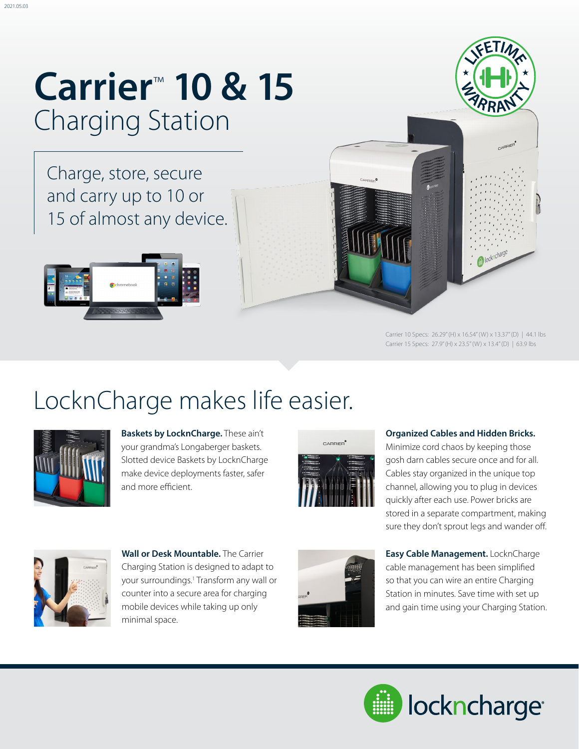## **Carrier**™ **10 & 15**  Charging Station

Charge, store, secure and carry up to 10 or 15 of almost any device.



Carrier 10 Specs: 26.29" (H) x 16.54" (W) x 13.37" (D) | 44.1 lbs Carrier 15 Specs: 27.9" (H) x 23.5" (W) x 13.4" (D) | 63.9 lbs

### LocknCharge makes life easier.



**Baskets by LocknCharge.** These ain't your grandma's Longaberger baskets. Slotted device Baskets by LocknCharge make device deployments faster, safer and more efficient.



#### **Organized Cables and Hidden Bricks.**

Minimize cord chaos by keeping those gosh darn cables secure once and for all. Cables stay organized in the unique top channel, allowing you to plug in devices quickly after each use. Power bricks are stored in a separate compartment, making sure they don't sprout legs and wander off.



**Wall or Desk Mountable.** The Carrier Charging Station is designed to adapt to your surroundings.<sup>1</sup> Transform any wall or counter into a secure area for charging mobile devices while taking up only minimal space.



**Easy Cable Management.** LocknCharge cable management has been simplified so that you can wire an entire Charging Station in minutes. Save time with set up and gain time using your Charging Station.